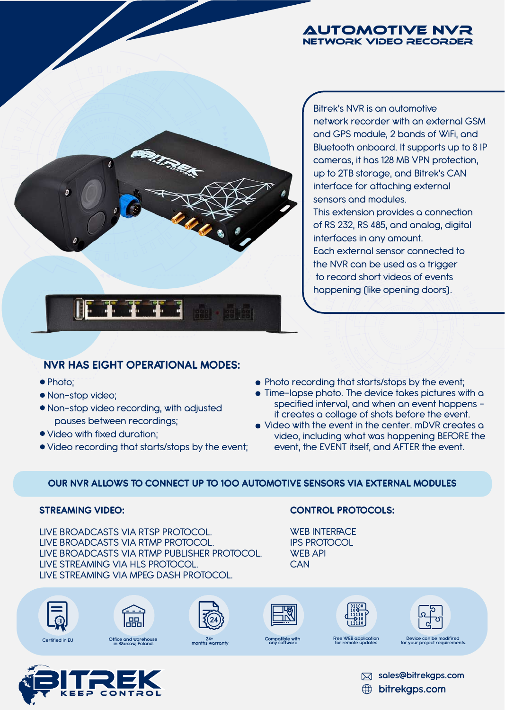#### Automotive NVR Network video recorder



Bitrek's NVR is an automotive network recorder with an external GSM and GPS module, 2 bands of WiFi, and Bluetooth onboard. It supports up to 8 IP cameras, it has 128 MB VPN protection, up to 2TB storage, and Bitrek's CAN interface for attaching external sensors and modules.

This extension provides a connection of RS 232, RS 485, and analog, digital interfaces in any amount. Each external sensor connected to the NVR can be used as a trigger to record short videos of events happening (like opening doors).

## **NVR HAS EIGHT OPERATIONAL MODES:**

- Photo;
- Non-stop video;
- Non-stop video recording, with adjusted pauses between recordings;
- Video with fixed duration;
- Video recording that starts/stops by the event;
- Photo recording that starts/stops by the event;
- Time-lapse photo. The device takes pictures with a specified interval, and when an event happens it creates a collage of shots before the event.
- Video with the event in the center. mDVR creates a video, including what was happening BEFORE the event, the EVENT itself, and AFTER the event.

## **OUR NVR ALLOWS TO CONNECT UP TO 100 AUTOMOTIVE SENSORS VIA EXTERNAL MODULES**

#### **STREAMING VIDEO:**

LIVE BROADCASTS VIA RTSP PROTOCOL. LIVE BROADCASTS VIA RTMP PROTOCOL. LIVE BROADCASTS VIA RTMP PUBLISHER PROTOCOL. LIVE STREAMING VIA HLS PROTOCOL. LIVE STREAMING VIA MPEG DASH PROTOCOL.

#### **CONTROL PROTOCOLS:**

WEB INTERFACE IPS PROTOCOL WEB API **CAN** 













# **Office and warehouse in Warsaw, Poland.**



**Compatible with any software Free WEB application** 

**for remote updates. Device can be modifired for your project requirements. 24+ months warranty Certified in EU**



**sales@bitrekgps.com**

**bitrekgps.com**